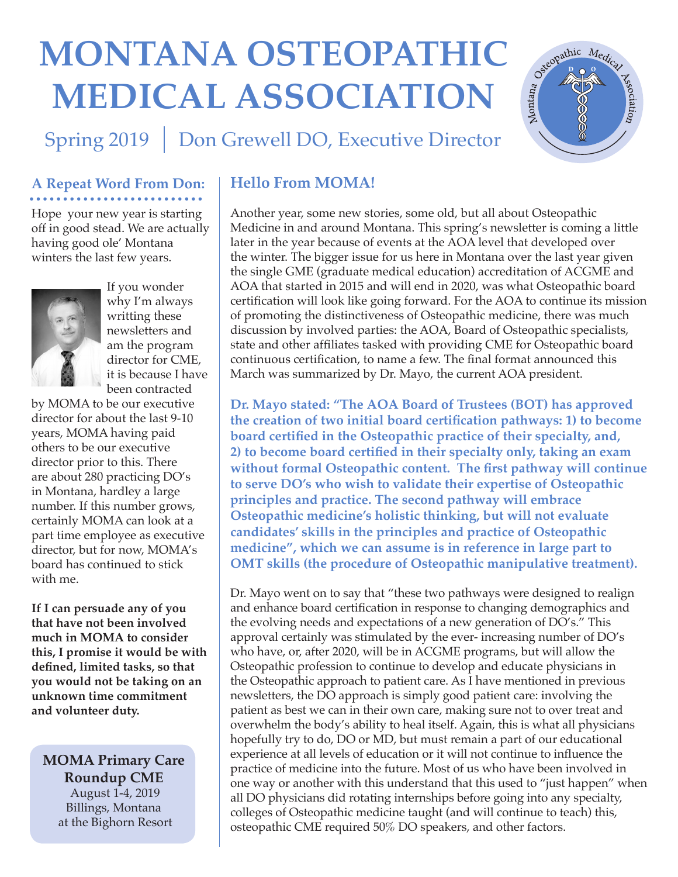# **Montana osteopaTHic medical Association**



Spring 2019 | Don Grewell DO, Executive Director

### **A Repeat Word From Don:**

Hope your new year is starting off in good stead. We are actually having good ole' Montana winters the last few years.



If you wonder why I'm always writting these newsletters and am the program director for CME, it is because I have been contracted

by MOMA to be our executive director for about the last 9-10 years, MOMA having paid others to be our executive director prior to this. There are about 280 practicing DO's in Montana, hardley a large number. If this number grows, certainly MOMA can look at a part time employee as executive director, but for now, MOMA's board has continued to stick with me.

**If I can persuade any of you that have not been involved much in MOMA to consider this, I promise it would be with defined, limited tasks, so that you would not be taking on an unknown time commitment and volunteer duty.**

**MOMA Primary Care Roundup CME** August 1-4, 2019 Billings, Montana at the Bighorn Resort

## **Hello From MOMA!**

Another year, some new stories, some old, but all about Osteopathic Medicine in and around Montana. This spring's newsletter is coming a little later in the year because of events at the AOA level that developed over the winter. The bigger issue for us here in Montana over the last year given the single GME (graduate medical education) accreditation of ACGME and AOA that started in 2015 and will end in 2020, was what Osteopathic board certification will look like going forward. For the AOA to continue its mission of promoting the distinctiveness of Osteopathic medicine, there was much discussion by involved parties: the AOA, Board of Osteopathic specialists, state and other affiliates tasked with providing CME for Osteopathic board continuous certification, to name a few. The final format announced this March was summarized by Dr. Mayo, the current AOA president.

**Dr. Mayo stated: "The AOA Board of Trustees (BOT) has approved the creation of two initial board certification pathways: 1) to become board certified in the Osteopathic practice of their specialty, and, 2) to become board certified in their specialty only, taking an exam without formal Osteopathic content. The first pathway will continue to serve DO's who wish to validate their expertise of Osteopathic principles and practice. The second pathway will embrace Osteopathic medicine's holistic thinking, but will not evaluate candidates' skills in the principles and practice of Osteopathic medicine", which we can assume is in reference in large part to OMT skills (the procedure of Osteopathic manipulative treatment).** 

Dr. Mayo went on to say that "these two pathways were designed to realign and enhance board certification in response to changing demographics and the evolving needs and expectations of a new generation of DO's." This approval certainly was stimulated by the ever- increasing number of DO's who have, or, after 2020, will be in ACGME programs, but will allow the Osteopathic profession to continue to develop and educate physicians in the Osteopathic approach to patient care. As I have mentioned in previous newsletters, the DO approach is simply good patient care: involving the patient as best we can in their own care, making sure not to over treat and overwhelm the body's ability to heal itself. Again, this is what all physicians hopefully try to do, DO or MD, but must remain a part of our educational experience at all levels of education or it will not continue to influence the practice of medicine into the future. Most of us who have been involved in one way or another with this understand that this used to "just happen" when all DO physicians did rotating internships before going into any specialty, colleges of Osteopathic medicine taught (and will continue to teach) this, osteopathic CME required 50% DO speakers, and other factors.